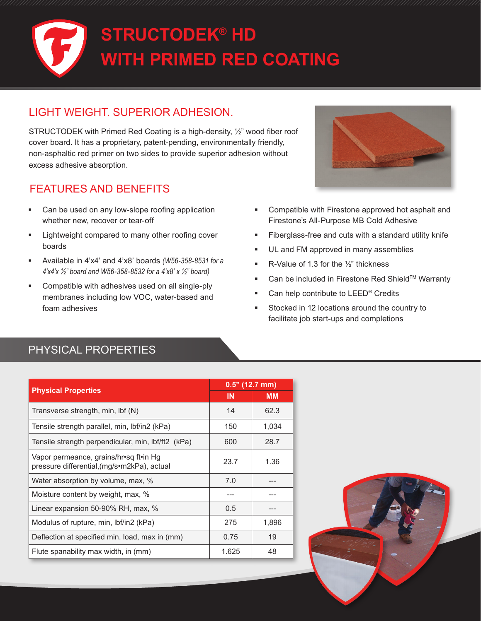

## LIGHT WEIGHT. SUPERIOR ADHESION.

STRUCTODEK with Primed Red Coating is a high-density, ½" wood fiber roof cover board. It has a proprietary, patent-pending, environmentally friendly, non-asphaltic red primer on two sides to provide superior adhesion without excess adhesive absorption.

## FEATURES AND BENEFITS

- Can be used on any low-slope roofing application whether new, recover or tear-off
- **EXECUTE:** Lightweight compared to many other roofing cover boards
- Available in 4'x4' and 4'x8' boards *(W56-358-8531 for a 4'x4'x ½" board and W56-358-8532 for a 4'x8' x ½" board)*
- Compatible with adhesives used on all single-ply membranes including low VOC, water-based and foam adhesives



- Compatible with Firestone approved hot asphalt and Firestone's All-Purpose MB Cold Adhesive
- **Fiberglass-free and cuts with a standard utility knife**
- **UL and FM approved in many assemblies**
- R-Value of 1.3 for the  $\frac{1}{2}$ " thickness
- Can be included in Firestone Red Shield™ Warranty
- Can help contribute to LEED® Credits
- Stocked in 12 locations around the country to facilitate job start-ups and completions

## PHYSICAL PROPERTIES

| <b>Physical Properties</b>                                                            | $0.5"$ (12.7 mm) |           |
|---------------------------------------------------------------------------------------|------------------|-----------|
|                                                                                       | <b>IN</b>        | <b>MM</b> |
| Transverse strength, min, lbf (N)                                                     | 14               | 62.3      |
| Tensile strength parallel, min, lbf/in2 (kPa)                                         | 150              | 1,034     |
| Tensile strength perpendicular, min, lbf/ft2 (kPa)                                    | 600              | 28.7      |
| Vapor permeance, grains/hr•sq ft•in Hg<br>pressure differential, (mg/s•m2kPa), actual | 23.7             | 1.36      |
| Water absorption by volume, max, %                                                    | 7.0              |           |
| Moisture content by weight, max, %                                                    |                  |           |
| Linear expansion 50-90% RH, max, %                                                    | 0.5              |           |
| Modulus of rupture, min, Ibf/in2 (kPa)                                                | 275              | 1,896     |
| Deflection at specified min. load, max in (mm)                                        | 0.75             | 19        |
| Flute spanability max width, in (mm)                                                  | 1.625            | 48        |